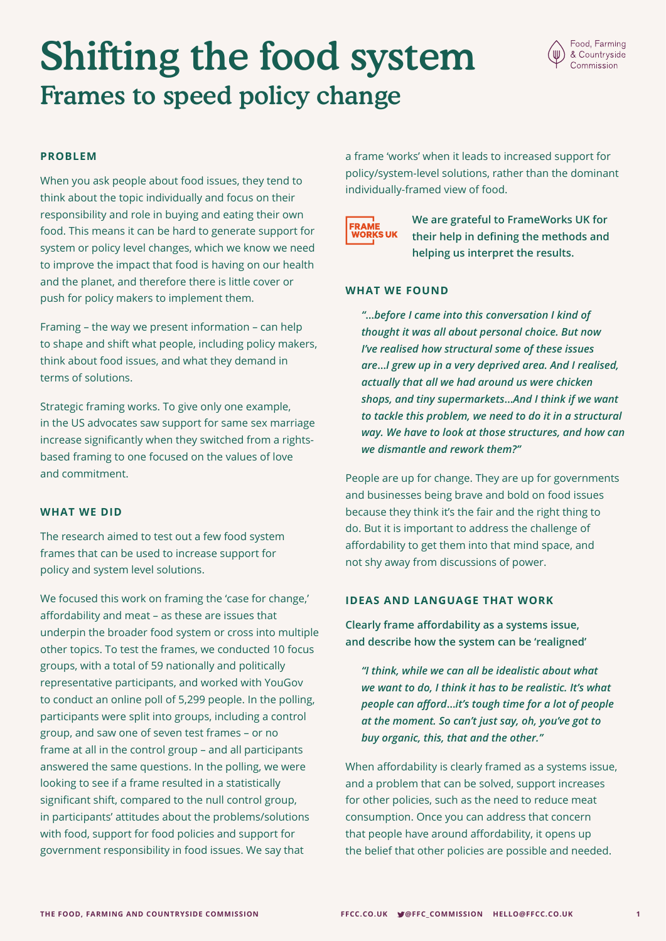# Shifting the food system Frames to speed policy change



#### **PROBLEM**

When you ask people about food issues, they tend to think about the topic individually and focus on their responsibility and role in buying and eating their own food. This means it can be hard to generate support for system or policy level changes, which we know we need to improve the impact that food is having on our health and the planet, and therefore there is little cover or push for policy makers to implement them.

Framing – the way we present information – can help to shape and shift what people, including policy makers, think about food issues, and what they demand in terms of solutions.

Strategic framing works. To give only one example, in the US advocates saw support for same sex marriage increase significantly when they switched from a rightsbased framing to one focused on the values of love and commitment.

#### **WHAT WE DID**

The research aimed to test out a few food system frames that can be used to increase support for policy and system level solutions.

We focused this work on framing the 'case for change,' affordability and meat – as these are issues that underpin the broader food system or cross into multiple other topics. To test the frames, we conducted 10 focus groups, with a total of 59 nationally and politically representative participants, and worked with YouGov to conduct an online poll of 5,299 people. In the polling, participants were split into groups, including a control group, and saw one of seven test frames – or no frame at all in the control group – and all participants answered the same questions. In the polling, we were looking to see if a frame resulted in a statistically significant shift, compared to the null control group, in participants' attitudes about the problems/solutions with food, support for food policies and support for government responsibility in food issues. We say that

a frame 'works' when it leads to increased support for policy/system-level solutions, rather than the dominant individually-framed view of food.



**We are grateful to FrameWorks UK for their help in defining the methods and helping us interpret the results.** 

#### **WHAT WE FOUND**

*"***…***before I came into this conversation I kind of thought it was all about personal choice. But now I've realised how structural some of these issues are***…***I grew up in a very deprived area. And I realised, actually that all we had around us were chicken shops, and tiny supermarkets***…***And I think if we want to tackle this problem, we need to do it in a structural way. We have to look at those structures, and how can we dismantle and rework them?"*

People are up for change. They are up for governments and businesses being brave and bold on food issues because they think it's the fair and the right thing to do. But it is important to address the challenge of affordability to get them into that mind space, and not shy away from discussions of power.

#### **IDEAS AND LANGUAGE THAT WORK**

**Clearly frame affordability as a systems issue, and describe how the system can be 'realigned'**

*"I think, while we can all be idealistic about what we want to do, I think it has to be realistic. It's what people can afford***…***it's tough time for a lot of people at the moment. So can't just say, oh, you've got to buy organic, this, that and the other."*

When affordability is clearly framed as a systems issue, and a problem that can be solved, support increases for other policies, such as the need to reduce meat consumption. Once you can address that concern that people have around affordability, it opens up the belief that other policies are possible and needed.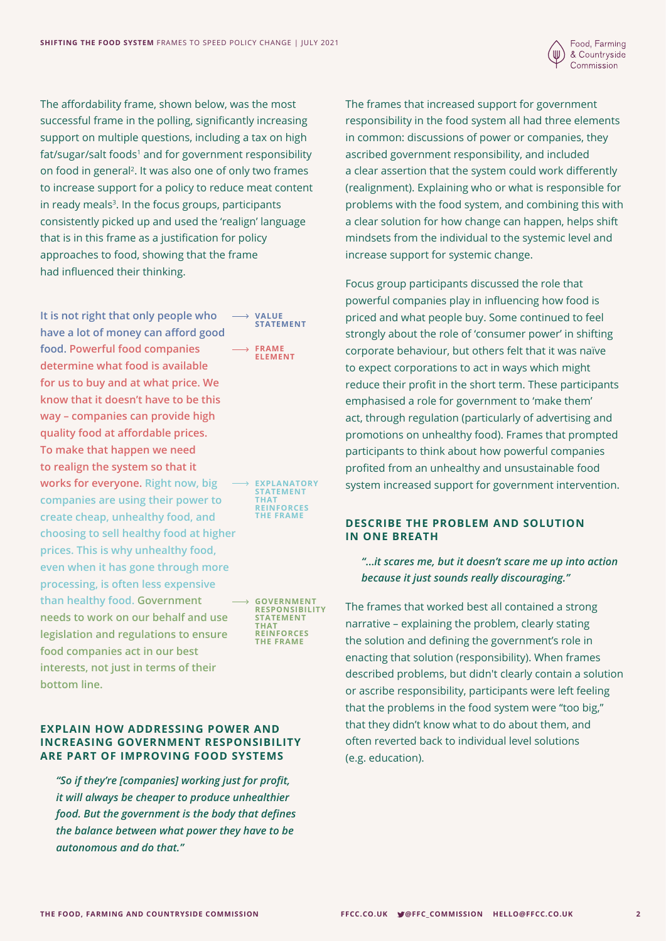

The affordability frame, shown below, was the most successful frame in the polling, significantly increasing support on multiple questions, including a tax on high fat/sugar/salt foods<sup>1</sup> and for government responsibility on food in general2. It was also one of only two frames to increase support for a policy to reduce meat content in ready meals $3$ . In the focus groups, participants consistently picked up and used the 'realign' language that is in this frame as a justification for policy approaches to food, showing that the frame had influenced their thinking.

**It is not right that only people who**   $\rightarrow$ **VALUE STATEMENT have a lot of money can afford good food. Powerful food companies**   $\rightarrow$  **FRAME ELEMENT determine what food is available for us to buy and at what price. We know that it doesn't have to be this way – companies can provide high quality food at affordable prices. To make that happen we need to realign the system so that it works for everyone. Right now, big EXPLANATORY STATEMENT companies are using their power to THAT REINFORCES create cheap, unhealthy food, and THE FRAME choosing to sell healthy food at higher prices. This is why unhealthy food, even when it has gone through more processing, is often less expensive than healthy food. Government GOVERNMENT RESPONSIBILITY needs to work on our behalf and use STATEMENT THAT REINFORCES legislation and regulations to ensure THE FRAMEfood companies act in our best interests, not just in terms of their bottom line.**

#### **EXPLAIN HOW ADDRESSING POWER AND INCREASING GOVERNMENT RESPONSIBILITY ARE PART OF IMPROVING FOOD SYSTEMS**

*"So if they're [companies] working just for profit, it will always be cheaper to produce unhealthier food. But the government is the body that defines the balance between what power they have to be autonomous and do that."* 

The frames that increased support for government responsibility in the food system all had three elements in common: discussions of power or companies, they ascribed government responsibility, and included a clear assertion that the system could work differently (realignment). Explaining who or what is responsible for problems with the food system, and combining this with a clear solution for how change can happen, helps shift mindsets from the individual to the systemic level and increase support for systemic change.

Focus group participants discussed the role that powerful companies play in influencing how food is priced and what people buy. Some continued to feel strongly about the role of 'consumer power' in shifting corporate behaviour, but others felt that it was naïve to expect corporations to act in ways which might reduce their profit in the short term. These participants emphasised a role for government to 'make them' act, through regulation (particularly of advertising and promotions on unhealthy food). Frames that prompted participants to think about how powerful companies profited from an unhealthy and unsustainable food system increased support for government intervention.

#### **DESCRIBE THE PROBLEM AND SOLUTION IN ONE BREATH**

### *"***…***it scares me, but it doesn't scare me up into action because it just sounds really discouraging."*

The frames that worked best all contained a strong narrative – explaining the problem, clearly stating the solution and defining the government's role in enacting that solution (responsibility). When frames described problems, but didn't clearly contain a solution or ascribe responsibility, participants were left feeling that the problems in the food system were "too big," that they didn't know what to do about them, and often reverted back to individual level solutions (e.g. education).